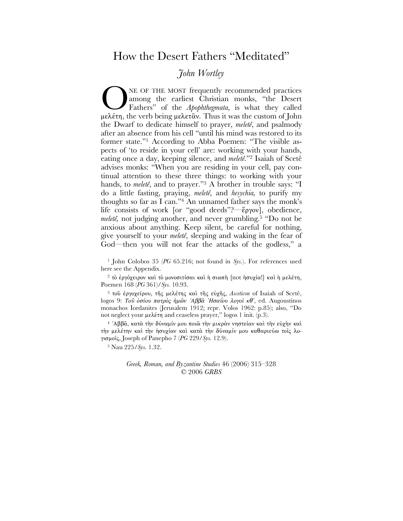# How the Desert Fathers "Meditated"

## John Wortley

NE OF THE MOST frequently recommended practices among the earliest Christian monks, "the Desert Fathers" of the Apophthegmata, is what they called μελέτη, the verb being μελετ $\hat{\alpha}$ ν. Thus it was the custom of John the Dwarf to dedicate himself to prayer, *meletê*, and psalmody after an absence from his cell "until his mind was restored to its former state."<sup>1</sup> According to Abba Poemen: "The visible aspects of 'to reside in your cell' are: working with your hands, eating once a day, keeping silence, and meletê."<sup>2</sup> Isaiah of Scetê advises monks: "When you are residing in your cell, pay continual attention to these three things: to working with your hands, to *meleté*, and to prayer."<sup>3</sup> A brother in trouble says: "I do a little fasting, praying, *meletê*, and *hesychia*, to purify my thoughts so far as I can."<sup>4</sup> An unnamed father says the monk's life consists of work [or "good deeds"?- epyov], obedience, *meleté*, not judging another, and never grumbling.<sup>5</sup> "Do not be anxious about anything. Keep silent, be careful for nothing, give yourself to your *meleté*, sleeping and waking in the fear of God—then you will not fear the attacks of the godless," a

<sup>1</sup> John Colobos 35 (PG 65.216; not found in Sys.). For references used here see the Appendix.

<sup>2</sup> το έργόχειρον και το μονοσιτίσαι και ή σιωπή [not ήσυχία!] και ή μελέτη, Poemen 168 (PG 361)/Sys. 10.93.

<sup>3</sup> του έργοχείρου, της μελέτης και της εύχης, Asceticon of Isaiah of Scetê, logos 9: Του όσίου πατρός ήμων Άββα Ήσαΐου λογοί κθ', ed. Augoustinos monachos Iordanites (Jerusalem 1912; repr. Volos 1962: p.85); also, "Do not neglect your μελέτη and ceaseless prayer," logos 1 init. (p.3).

<sup>4</sup> 'Αββα, κατά την δύναμίν μου ποιώ την μικράν νηστείαν και την εύχην και την μελέτην καί την ήσυχίαν και κατά την δύναμίν μου καθαριεύω τοις λογισμοΐς, Joseph of Panepho 7 (PG 229/Sys. 12.9).

<sup>5</sup> Nau 225/Sys. 1.32.

### Greek, Roman, and Byzantine Studies 46 (2006) 315–328  $© 2006 GRBS$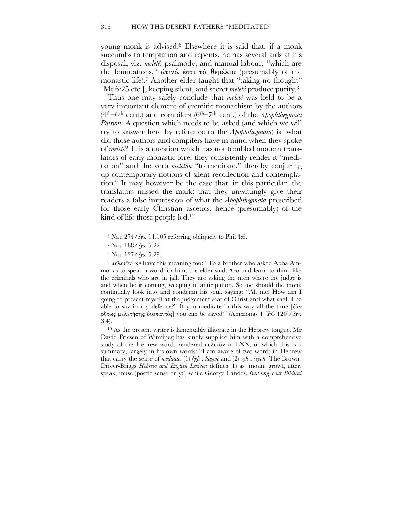young monk is advised. <sup>6</sup> Elsewhere it is said that, if a monk succumbs to temptation and repents, he has several aids at his disposal, viz. *meletê,* psalmody, and manual labour, "which are the foundations,"  $\tilde{\alpha} \tau \nu \alpha \dot{\epsilon} \sigma \tau \dot{\tau} \dot{\alpha} \theta \epsilon \mu \dot{\epsilon} \lambda \dot{\alpha}$  (presumably of the monastic life).<sup>7</sup> Another elder taught that "taking no thought" [Mt 6:25 etc.], keeping silent, and secret *meletê* produce purity. 8

Thus one may safely conclude that *meletê* was held to be a very important element of eremitic monachism by the authors (4th–6th cent.) and compilers (6th–7th cent.) of the *Apophthegmata Patrum*. A question which needs to be asked (and which we will try to answer here by reference to the *Apophthegmata*) is: what did those authors and compilers have in mind when they spoke of *meletê*? It is a question which has not troubled modern translators of early monastic lore; they consistently render it "meditation" and the verb *meletân* "to meditate," thereby conjuring up contemporary notions of silent recollection and contemplation. <sup>9</sup> It may however be the case that, in this particular, the translators missed the mark; that they unwittingly give their readers a false impression of what the *Apophthegmata* prescribed for those early Christian ascetics, hence (presumably) of the kind of life those people led. 10

<sup>9</sup> μελετᾶν *can* have this meaning too: "To a brother who asked Abba Am-<br>ange to speak a word for him, the alder said: 'Co and learn to think like monas to speak a word for him, the elder said: 'Go and learn to think like the criminals who are in jail. They are asking the men where the judge is and when he is coming, weeping in anticipation. So too should the monk continually look into and condemn his soul, saying: "Ah me! How am I going to present myself at the judgement seat of Christ and what shall I be able to say in my defence?" If you meditate in this way all the time  $\lceil \frac{3}{2} \alpha \rceil$ oὕτως μελετήσης διαπαντός] you can be saved'" (Ammonas 1 [PG 120]/*Sys*. 3.4).

<sup>10</sup> As the present writer is lamentably illiterate in the Hebrew tongue, Mr David Friesen of Winnipeg has kindly supplied him with a comprehensive study of the Hebrew words rendered  $\mu \epsilon \lambda \epsilon \tau \hat{\alpha}$  in LXX, of which this is a summary, largely in his own words: "I am aware of two words in Hebrew that carry the sense of *meditate*: (1) *hgh* : *hagah* and (2) *syh* : *siyah*. The Brown-Driver-Briggs *Hebrew and English Lexicon* defines (1) as 'moan, growl, utter, speak, muse (poetic sense only)', while George Landes, *Building Your Biblical*

<sup>6</sup> Nau 274/*Sys.* 11.105 referring obliquely to Phil 4:6.

<sup>7</sup> Nau 168/*Sys.* 5.22.

<sup>8</sup> Nau 127/*Sys.* 5.29.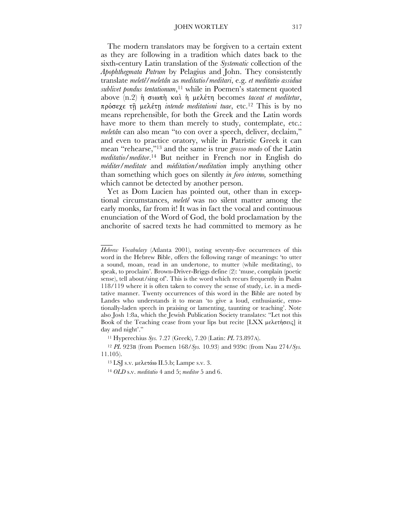The modern translators may be forgiven to a certain extent as they are following in a tradition which dates back to the sixth-century Latin translation of the *Systematic* collection of the *Apophthegmata Patrum* by Pelagius and John. They consistently translate *meletê*/*meletân* as *meditatio*/*meditari*, e.g. *et meditatio assidua sublivet pondus tentationum*,<sup>11</sup> while in Poemen's statement quoted above (n.2) ή σιωπή καὶ ή μελέτη becomes *taceat et meditetur*, πρόσεχε τῆ μελέτῃ *intende meditationi tuae*, etc.<sup>12</sup> This is by no<br>means reprehensible for both the Creek and the Letin words means reprehensible, for both the Greek and the Latin words have more to them than merely to study, contemplate, etc.: *meletân* can also mean "to con over a speech, deliver, declaim," and even to practice oratory, while in Patristic Greek it can mean "rehearse,"13 and the same is true *grosso modo* of the Latin *meditatio*/*meditor*. <sup>14</sup> But neither in French nor in English do *méditer*/*meditate* and *méditation*/*meditation* imply anything other than something which goes on silently *in foro interno,* something which cannot be detected by another person.

Yet as Dom Lucien has pointed out, other than in exceptional circumstances, *meletê* was no silent matter among the early monks, far from it! It was in fact the vocal and continuous enunciation of the Word of God, the bold proclamation by the anchorite of sacred texts he had committed to memory as he

<sup>11</sup> Hyperechius *Sys.* 7.27 (Greek), 7.20 (Latin: *PL* 73.897A).

<sup>12</sup> *PL* 923B (from Poemen 168/*Sys.* 10.93) and 939C (from Nau 274/*Sys.* 11.105).

<sup>13</sup> LSJ s.v. μελετάω II.5.b; Lampe s.v. 3.

 $\overline{\phantom{a}}$ 

<sup>14</sup> *OLD* s.v. *meditatio* 4 and 5; *meditor* 5 and 6.

*Hebrew Vocabulary* (Atlanta 2001), noting seventy-five occurrences of this word in the Hebrew Bible, offers the following range of meanings: 'to utter a sound, moan, read in an undertone, to mutter (while meditating), to speak, to proclaim'. Brown-Driver-Briggs define (2): 'muse, complain (poetic sense), tell about/sing of'. This is the word which recurs frequently in Psalm 118/119 where it is often taken to convey the sense of study, i.e. in a meditative manner. Twenty occurrences of this word in the Bible are noted by Landes who understands it to mean 'to give a loud, enthusiastic, emotionally-laden speech in praising or lamenting, taunting or teaching'. Note also Josh 1:8a, which the Jewish Publication Society translates: "Let not this Book of the Teaching cease from your lips but recite  $[{\rm LXX}]$  μελετήσεις it day and night'."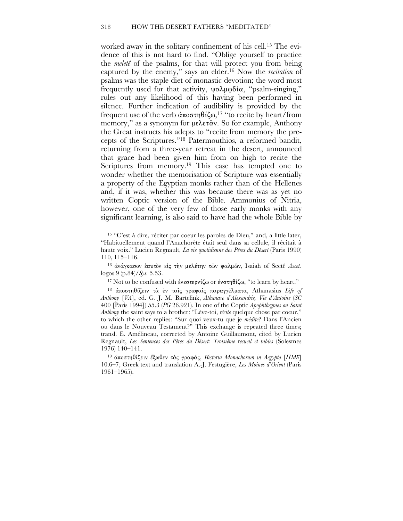worked away in the solitary confinement of his cell.<sup>15</sup> The evidence of this is not hard to find. "Oblige yourself to practice the *meleté* of the psalms, for that will protect you from being captured by the enemy," says an elder.<sup>16</sup> Now the *recitation* of psalms was the staple diet of monastic devotion; the word most frequently used for that activity,  $\psi \alpha \lambda \mu \omega \delta \alpha$ , "psalm-singing," rules out any likelihood of this having been performed in silence. Further indication of audibility is provided by the frequent use of the verb άποστηθίζω,<sup>17</sup> "to recite by heart/from memory," as a synonym for  $\mu \epsilon \lambda \epsilon \tau \hat{\alpha} v$ . So for example, Anthony the Great instructs his adepts to "recite from memory the precepts of the Scriptures."<sup>18</sup> Patermouthios, a reformed bandit, returning from a three-year retreat in the desert, announced that grace had been given him from on high to recite the Scriptures from memory.<sup>19</sup> This case has tempted one to wonder whether the memorisation of Scripture was essentially a property of the Egyptian monks rather than of the Hellenes and, if it was, whether this was because there was as yet no written Coptic version of the Bible. Ammonius of Nitria, however, one of the very few of those early monks with any significant learning, is also said to have had the whole Bible by

<sup>15</sup> "C'est à dire, réciter par coeur les paroles de Dieu," and, a little later, "Habituellement quand l'Anachorète était seul dans sa cellule, il récitait à haute voix." Lucien Regnault, La vie quotidienne des Pères du Désert (Paris 1990)  $110, 115 - 116.$ 

<sup>16</sup> άνάγκασον εαυτόν είς την μελέτην των ψαλμων, Isaiah of Scetê Ascet.  $\log$ os 9 (p.84)/Sys. 5.53.

<sup>17</sup> Not to be confused with ένεστερνίζω or ένστηθίζω, "to learn by heart."

<sup>18</sup> άποστηθίζειν τα έν ταίς γραφαίς παραγγέλματα, Athanasius Life of Anthony [VA], ed. G. J. M. Bartelink, Athanase d'Alexandrie, Vie d'Antoine (SC 400 [Paris 1994] 55.3 (PG 26.921). In one of the Coptic Apophthegmes on Saint Anthony the saint says to a brother: "Lève-toi, *récite* quelque chose par coeur," to which the other replies: "Sur quoi veux-tu que je *médite*? Dans l'Ancien ou dans le Nouveau Testament?" This exchange is repeated three times; transl. E. Amélineau, corrected by Antoine Guillaumont, cited by Lucien Regnault, Les Sentences des Pères du Désert: Troisième recueil et tables (Solesmes  $1976$ )  $140-141$ .

<sup>19</sup> άποστηθίζειν έξωθεν τας γραφάς, Historia Monachorum in Aegypto [HME] 10.6-7; Greek text and translation A.-J. Festugière, Les Moines d'Orient (Paris  $1961 - 1965$ ).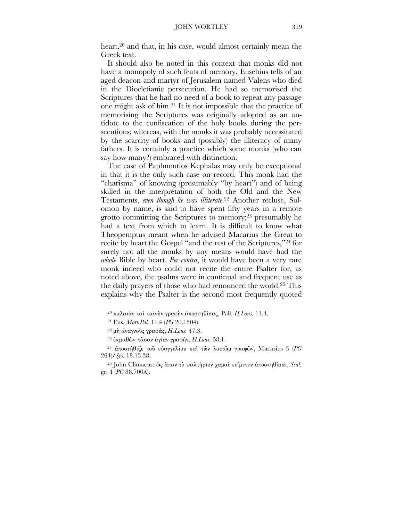heart,<sup>20</sup> and that, in his case, would almost certainly mean the Greek text.

It should also be noted in this context that monks did not have a monopoly of such feats of memory. Eusebius tells of an aged deacon and martyr of Jerusalem named Valens who died in the Diocletianic persecution. He had so memorised the Scriptures that he had no need of a book to repeat any passage one might ask of him.<sup>21</sup> It is not impossible that the practice of memorising the Scriptures was originally adopted as an antidote to the confiscation of the holy books during the persecutions; whereas, with the monks it was probably necessitated by the scarcity of books and (possibly) the illiteracy of many fathers. It is certainly a practice which some monks (who can say how many?) embraced with distinction.

The case of Paphnoutios Kephalas may only be exceptional in that it is the only such case on record. This monk had the "charisma" of knowing (presumably "by heart") and of being skilled in the interpretation of both the Old and the New Testaments, even though he was illiterate.<sup>22</sup> Another recluse, Solomon by name, is said to have spent fifty years in a remote grotto committing the Scriptures to memory;<sup>23</sup> presumably he had a text from which to learn. It is difficult to know what Theopemptus meant when he advised Macarius the Great to recite by heart the Gospel "and the rest of the Scriptures,"<sup>24</sup> for surely not all the monks by any means would have had the whole Bible by heart. Per contra, it would have been a very rare monk indeed who could not recite the entire Psalter for, as noted above, the psalms were in continual and frequent use as the daily prayers of those who had renounced the world.<sup>25</sup> This explains why the Psalter is the second most frequently quoted

<sup>20</sup> παλαιάν και καινην γραφην άποστηθίσας, Pall. H.Laus. 11.4.

<sup>21</sup> Eus. Mart.Pal. 11.4 (PG 20.1504).

<sup>22</sup> μη άναγνούς γραφάς, H. Laus. 47.3.

<sup>23</sup> έκμαθών πασαν άγίαν γραφήν, *H.Laus.* 58.1.

<sup>24</sup> άποστήθιζε του εύαγγελίου και των λοιπώμ γραφών, Macarius 3 (PG  $264$ /Sys. 18.13.38.

<sup>25</sup> John Climacus: ως άπαν το ψαλτήριον χαμαί κείμενον άποστηθίσαι, Scal. gr. 4 (PG 88.700A).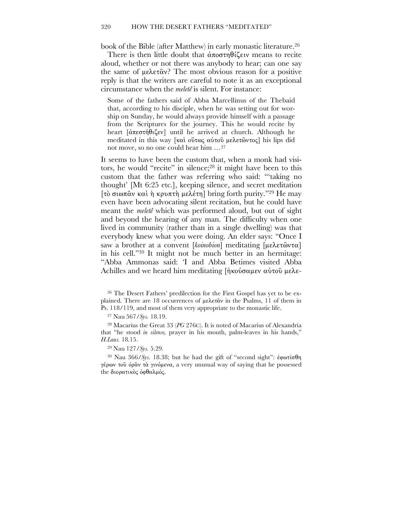book of the Bible (after Matthew) in early monastic literature.<sup>26</sup>

There is then little doubt that  $\alpha \pi$   $\alpha \pi \theta$  is the means to recite aloud, whether or not there was anybody to hear; can one say the same of  $\mu \epsilon \lambda \epsilon \tau \hat{\alpha} v$ ? The most obvious reason for a positive reply is that the writers are careful to note it as an exceptional circumstance when the *meleté* is silent. For instance:

Some of the fathers said of Abba Marcellinus of the Thebaid that, according to his disciple, when he was setting out for worship on Sunday, he would always provide himself with a passage from the Scriptures for the journey. This he would recite by heart  $\left[\alpha \cos(\theta) \cos(\theta) - \sin(\theta)\right]$  arrived at church. Although he meditated in this way [καὶ ούτως αύτου μελετῶντος] his lips did not move, so no one could hear him ...<sup>27</sup>

It seems to have been the custom that, when a monk had visitors, he would "recite" in silence;<sup>28</sup> it might have been to this custom that the father was referring who said: "taking no thought' [Mt 6:25 etc.], keeping silence, and secret meditation [τὸ σιωπῶν καὶ ἡ κρυπτὴ μελέτη] bring forth purity."<sup>29</sup> He may even have been advocating silent recitation, but he could have meant the *meleté* which was performed aloud, but out of sight and beyond the hearing of any man. The difficulty when one lived in community (rather than in a single dwelling) was that everybody knew what you were doing. An elder says: "Once I saw a brother at a convent [koinobion] meditating [μελετῶντα] in his cell."30 It might not be much better in an hermitage: "Abba Ammonas said: 'I and Abba Betimes visited Abba Achilles and we heard him meditating  $\eta$  κούσαμεν αύτου μελε-

<sup>26</sup> The Desert Fathers' predilection for the First Gospel has yet to be explained. There are 18 occurrences of  $\mu \epsilon \lambda \epsilon \tau \hat{\alpha} \nu$  in the Psalms, 11 of them in Ps. 118/119, and most of them very appropriate to the monastic life.

<sup>27</sup> Nau 567/Sys. 18.19.

<sup>28</sup> Macarius the Great 33 (PG 276C). It is noted of Macarius of Alexandria that "he stood in silence, prayer in his mouth, palm-leaves in his hands," H.Laus. 18.15.

<sup>30</sup> Nau 366/Sys. 18.38; but he had the gift of "second sight":  $\dot{\epsilon}$ φωτίσθη γέρων του όραν τα γινόμενα, a very unusual way of saying that he possessed the διορατικός όφθαλμός.

<sup>&</sup>lt;sup>29</sup> Nau 127/Sys. 5.29.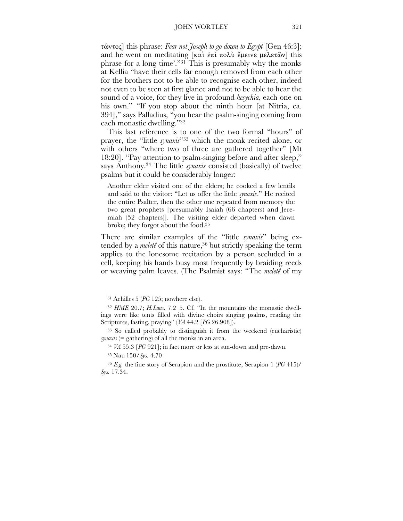#### JOHN WORTLEY 321

 $\tau$   $\omega$  $\tau$  $\omega$ <sub>5</sub> $\tau$  this phrase: *Fear not Joseph to go down to Egypt* [Gen 46:3]; and he went on meditating  $[\kappa \alpha \hat{i} \times \kappa \hat{n}]$   $\kappa \alpha \hat{k} \times \kappa \hat{n}$   $\kappa$   $\hat{k}$   $\kappa$   $\hat{k}$   $\hat{k}$   $\hat{k}$ phrase for a long time'."31 This is presumably why the monks at Kellia "have their cells far enough removed from each other for the brothers not to be able to recognise each other, indeed not even to be seen at first glance and not to be able to hear the sound of a voice, for they live in profound *hesychia*, each one on his own." "If you stop about the ninth hour [at Nitria, ca*.*  394]," says Palladius, "you hear the psalm-singing coming from each monastic dwelling."32

This last reference is to one of the two formal "hours" of prayer, the "little *synaxis*"33 which the monk recited alone, or with others "where two of three are gathered together" [Mt] 18:20]. "Pay attention to psalm-singing before and after sleep," says Anthony. <sup>34</sup> The little *synaxis* consisted (basically) of twelve psalms but it could be considerably longer:

Another elder visited one of the elders; he cooked a few lentils and said to the visitor: "Let us offer the little *synaxis*." He recited the entire Psalter, then the other one repeated from memory the two great prophets [presumably Isaiah (66 chapters) and Jeremiah (52 chapters)]. The visiting elder departed when dawn broke; they forgot about the food.35

There are similar examples of the "little *synaxis*" being extended by a *meletê* of this nature, <sup>36</sup> but strictly speaking the term applies to the lonesome recitation by a person secluded in a cell, keeping his hands busy most frequently by braiding reeds or weaving palm leaves. (The Psalmist says: "The *meletê* of my

<sup>34</sup> *VA* 55.3 [*PG* 921]; in fact more or less at sun-down and pre-dawn.

<sup>31</sup> Achilles 5 (*PG* 125; nowhere else).

<sup>32</sup> *HME* 20.7; *H.Laus.* 7.2–5. Cf. "In the mountains the monastic dwellings were like tents filled with divine choirs singing psalms, reading the Scriptures, fasting, praying" (*VA* 44.2 [*PG* 26.908]).

<sup>33</sup> So called probably to distinguish it from the weekend (eucharistic) *synaxis* (= gathering) of all the monks in an area.

<sup>35</sup> Nau 150/*Sys.* 4.70

<sup>36</sup> *E.g.* the fine story of Serapion and the prostitute, Serapion 1 (*PG* 415)/ *Sys.* 17.34.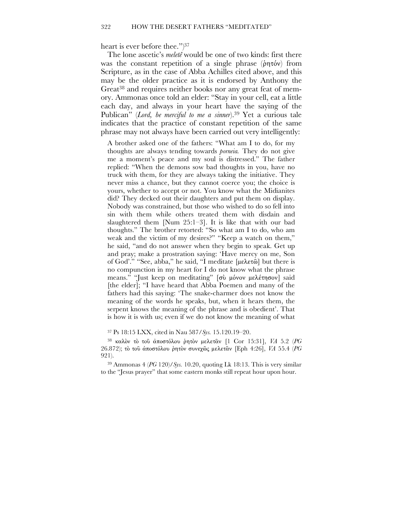heart is ever before thee.") 37

The lone ascetic's *meletê* would be one of two kinds: first there was the constant repetition of a single phrase ( $\phi$ ητόν) from Scripture, as in the case of Abba Achilles cited above, and this may be the older practice as it is endorsed by Anthony the Great<sup>38</sup> and requires neither books nor any great feat of memory. Ammonas once told an elder: "Stay in your cell, eat a little each day, and always in your heart have the saying of the Publican" (*Lord, be merciful to me a sinner*).39 Yet a curious tale indicates that the practice of constant repetition of the same phrase may not always have been carried out very intelligently:

A brother asked one of the fathers: "What am I to do, for my thoughts are always tending towards *porneia.* They do not give me a moment's peace and my soul is distressed." The father replied: "When the demons sow bad thoughts in you, have no truck with them, for they are always taking the initiative. They never miss a chance, but they cannot coerce you; the choice is yours, whether to accept or not. You know what the Midianites did? They decked out their daughters and put them on display. Nobody was constrained, but those who wished to do so fell into sin with them while others treated them with disdain and slaughtered them [Num 25:1–3]. It is like that with our bad thoughts." The brother retorted: "So what am I to do, who am weak and the victim of my desires?" "Keep a watch on them," he said, "and do not answer when they begin to speak. Get up and pray; make a prostration saying: 'Have mercy on me, Son of God'." "See, abba," he said, "I meditate  $[\mu \epsilon \lambda \epsilon \tau \hat{\omega}]$  but there is no compunction in my heart for I do not know what the phrase means." "Just keep on meditating" [σύ μόνον μελέτησον] said [the elder]; "I have heard that Abba Poemen and many of the fathers had this saying: 'The snake-charmer does not know the meaning of the words he speaks, but, when it hears them, the serpent knows the meaning of the phrase and is obedient'. That is how it is with us; even if we do not know the meaning of what

<sup>37</sup> Ps 18:15 LXX, cited in Nau 587/*Sys.* 15.120.19–20.

38 kalÚn tÚ toË épostÒlou =htÚn meletçn [1 Cor 15:31], *VA* 5.2 (*PG* 26.872); τὸ τοῦ ἀποστόλου ῥητὸν συνεχῶς μελετᾶν [Eph 4:26], *VA* 55.4 (PG 921).

<sup>39</sup> Ammonas 4 (*PG* 120)/*Sys.* 10.20, quoting Lk 18:13. This is very similar to the "Jesus prayer" that some eastern monks still repeat hour upon hour.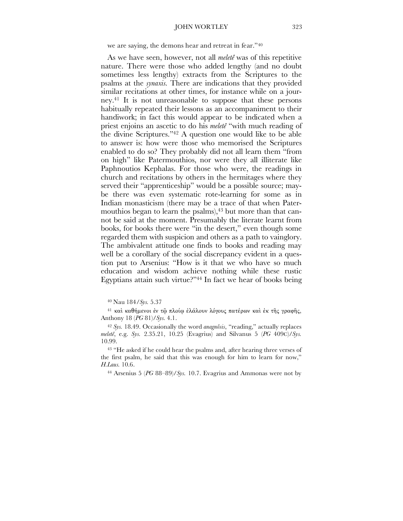we are saying, the demons hear and retreat in fear."40

As we have seen, however, not all *meleté* was of this repetitive nature. There were those who added lengthy (and no doubt sometimes less lengthy) extracts from the Scriptures to the psalms at the *synaxis*. There are indications that they provided similar recitations at other times, for instance while on a journey.<sup>41</sup> It is not unreasonable to suppose that these persons habitually repeated their lessons as an accompaniment to their handiwork; in fact this would appear to be indicated when a priest enjoins an ascetic to do his *meleté* "with much reading of the divine Scriptures."<sup>42</sup> A question one would like to be able to answer is: how were those who memorised the Scriptures enabled to do so? They probably did not all learn them "from on high" like Patermouthios, nor were they all illiterate like Paphnoutios Kephalas. For those who were, the readings in church and recitations by others in the hermitages where they served their "apprenticeship" would be a possible source; maybe there was even systematic rote-learning for some as in Indian monasticism (there may be a trace of that when Patermouthios began to learn the psalms),<sup>43</sup> but more than that cannot be said at the moment. Presumably the literate learnt from books, for books there were "in the desert," even though some regarded them with suspicion and others as a path to vainglory. The ambivalent attitude one finds to books and reading may well be a corollary of the social discrepancy evident in a question put to Arsenius: "How is it that we who have so much education and wisdom achieve nothing while these rustic Egyptians attain such virtue?"<sup>44</sup> In fact we hear of books being

<sup>41</sup> και καθήμενοι έν τω πλοίω έλάλουν λόγους πατέρων και έκ της γραφής, Anthony 18 (PG 81)/Sys. 4.1.

<sup>42</sup> Sys. 18.49. Occasionally the word *anagnôsis*, "reading," actually replaces meletê, e.g. Sys. 2.35.21, 10.25 (Evagrius) and Silvanus 5 (PG 409C)/Sys. 10.99.

<sup>43</sup> "He asked if he could hear the psalms and, after hearing three verses of the first psalm, he said that this was enough for him to learn for now," H.Laus. 10.6.

<sup>44</sup> Arsenius 5 ( $PG$  88–89)/Sys. 10.7. Evagrius and Ammonas were not by

<sup>40</sup> Nau 184/Sys. 5.37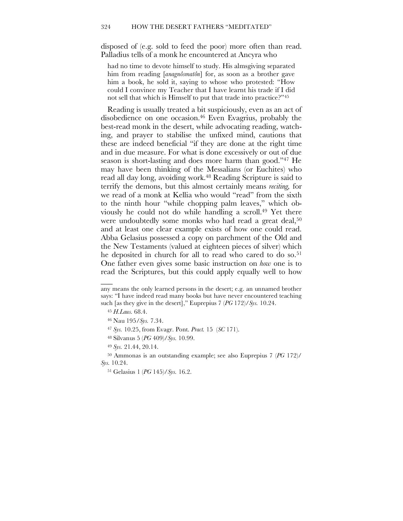disposed of (e.g. sold to feed the poor) more often than read. Palladius tells of a monk he encountered at Ancyra who

had no time to devote himself to study. His almsgiving separated him from reading [*anagnôsmatôn*] for, as soon as a brother gave him a book, he sold it, saying to whose who protested: "How could I convince my Teacher that I have learnt his trade if I did not sell that which is Himself to put that trade into practice?"45

Reading is usually treated a bit suspiciously, even as an act of disobedience on one occasion. <sup>46</sup> Even Evagrius, probably the best-read monk in the desert, while advocating reading, watching, and prayer to stabilise the unfixed mind, cautions that these are indeed beneficial "if they are done at the right time and in due measure. For what is done excessively or out of due season is short-lasting and does more harm than good."47 He may have been thinking of the Messalians (or Euchites) who read all day long, avoiding work. <sup>48</sup> Reading Scripture is said to terrify the demons, but this almost certainly means *reciting,* for we read of a monk at Kellia who would "read" from the sixth to the ninth hour "while chopping palm leaves," which obviously he could not do while handling a scroll.49 Yet there were undoubtedly some monks who had read a great deal,<sup>50</sup> and at least one clear example exists of how one could read. Abba Gelasius possessed a copy on parchment of the Old and the New Testaments (valued at eighteen pieces of silver) which he deposited in church for all to read who cared to do so.<sup>51</sup> One father even gives some basic instruction on *how* one is to read the Scriptures, but this could apply equally well to how

 $\overline{\phantom{a}}$ 

<sup>48</sup> Silvanus 5 (*PG* 409)/*Sys.* 10.99.

<sup>49</sup> *Sys.* 21.44, 20.14.

<sup>50</sup> Ammonas is an outstanding example; see also Euprepius 7 (*PG* 172)/ *Sys.* 10.24.

<sup>51</sup> Gelasius 1 (*PG* 145)/*Sys.* 16.2.

any means the only learned persons in the desert; e.g. an unnamed brother says: "I have indeed read many books but have never encountered teaching such [as they give in the desert]," Euprepius 7 (*PG* 172)/*Sys.* 10.24.

<sup>45</sup> *H.Laus.* 68.4.

<sup>46</sup> Nau 195/*Sys.* 7.34.

<sup>47</sup> *Sys.* 10.25, from Evagr. Pont. *Pract.* 15 (*SC* 171).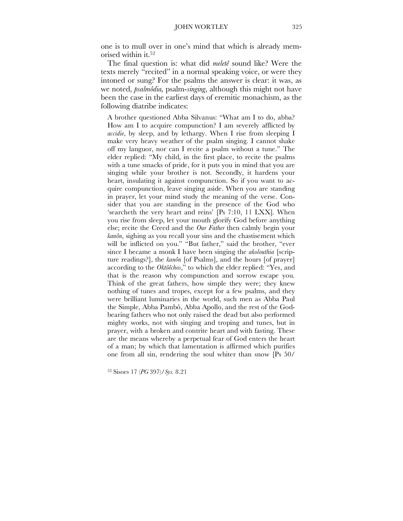one is to mull over in one's mind that which is already memorised within it. 52

The final question is: what did *meletê* sound like? Were the texts merely "recited" in a normal speaking voice, or were they intoned or sung? For the psalms the answer is clear: it was, as we noted, *psalmôdia,* psalm-*singing*, although this might not have been the case in the earliest days of eremitic monachism, as the following diatribe indicates:

A brother questioned Abba Silvanus: "What am I to do, abba? How am I to acquire compunction? I am severely afflicted by *accidie*, by sleep, and by lethargy. When I rise from sleeping I make very heavy weather of the psalm singing. I cannot shake off my languor, nor can I recite a psalm without a tune." The elder replied: "My child, in the first place, to recite the psalms with a tune smacks of pride, for it puts you in mind that you are singing while your brother is not. Secondly, it hardens your heart, insulating it against compunction. So if you want to acquire compunction, leave singing aside. When you are standing in prayer, let your mind study the meaning of the verse. Consider that you are standing in the presence of the God who 'searcheth the very heart and reins' [Ps 7:10, 11 LXX]*.* When you rise from sleep, let your mouth glorify God before anything else; recite the Creed and the *Our Father* then calmly begin your *kanôn*, sighing as you recall your sins and the chastisement which will be inflicted on you." "But father," said the brother, "ever since I became a monk I have been singing the *akolouthia* [scripture readings?], the *kanôn* [of Psalms], and the hours [of prayer] according to the *Oktôêchos*," to which the elder replied: "Yes, and that is the reason why compunction and sorrow escape you. Think of the great fathers, how simple they were; they knew nothing of tunes and tropes, except for a few psalms, and they were brilliant luminaries in the world, such men as Abba Paul the Simple, Abba Pambô, Abba Apollo, and the rest of the Godbearing fathers who not only raised the dead but also performed mighty works, not with singing and troping and tunes, but in prayer, with a broken and contrite heart and with fasting. These are the means whereby a perpetual fear of God enters the heart of a man; by which that lamentation is affirmed which purifies one from all sin, rendering the soul whiter than snow [Ps 50/

<sup>52</sup> Sisoes 17 (*PG* 397)/*Sys.* 8.21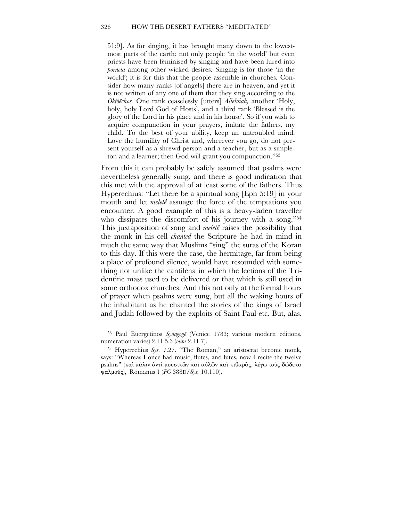#### 326 HOW THE DESERT FATHERS "MEDITATED"

51:9]. As for singing, it has brought many down to the lowestmost parts of the earth; not only people 'in the world' but even priests have been feminised by singing and have been lured into *porneia* among other wicked desires. Singing is for those 'in the world'; it is for this that the people assemble in churches. Consider how many ranks [of angels] there are in heaven, and yet it is not written of any one of them that they sing according to the *Oktôêchos.* One rank ceaselessly [utters] *Alleluiah,* another 'Holy, holy, holy Lord God of Hosts', and a third rank 'Blessed is the glory of the Lord in his place and in his house'. So if you wish to acquire compunction in your prayers, imitate the fathers, my child. To the best of your ability, keep an untroubled mind. Love the humility of Christ and, wherever you go, do not present yourself as a shrewd person and a teacher, but as a simpleton and a learner; then God will grant you compunction."53

From this it can probably be safely assumed that psalms were nevertheless generally sung, and there is good indication that this met with the approval of at least some of the fathers. Thus Hyperechius: "Let there be a spiritual song [Eph 5:19] in your mouth and let *meletê* assuage the force of the temptations you encounter. A good example of this is a heavy-laden traveller who dissipates the discomfort of his journey with a song."<sup>54</sup> This juxtaposition of song and *meletê* raises the possibility that the monk in his cell *chanted* the Scripture he had in mind in much the same way that Muslims "sing" the suras of the Koran to this day. If this were the case, the hermitage, far from being a place of profound silence, would have resounded with something not unlike the cantilena in which the lections of the Tridentine mass used to be delivered or that which is still used in some orthodox churches. And this not only at the formal hours of prayer when psalms were sung, but all the waking hours of the inhabitant as he chanted the stories of the kings of Israel and Judah followed by the exploits of Saint Paul etc. But, alas,

<sup>53</sup> Paul Euergetinos *Synagogê* (Venice 1783; various modern editions, numeration varies) 2.11.5.3 (*olim* 2.11.7).

<sup>54</sup> Hyperechius *Sys.* 7.27. "The Roman," an aristocrat become monk, says: "Whereas I once had music, flutes, and lutes, now I recite the twelve psalms" (και πάλιν αντι μουσικών και αύλων και κιθαρας, λέγω τους δώδεκα calmoÊw), Romanus <sup>1</sup> (*PG* 388D/*Sys.* 10.110).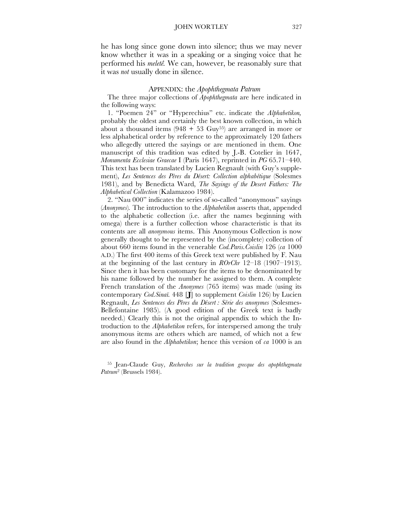he has long since gone down into silence; thus we may never know whether it was in a speaking or a singing voice that he performed his *meletê.* We can, however, be reasonably sure that it was *not* usually done in silence.

#### APPENDIX: the *Apophthegmata Patrum*

The three major collections of *Apophthegmata* are here indicated in the following ways:

1. "Poemen 24" or "Hyperechius" etc. indicate the *Alphabetikon,* probably the oldest and certainly the best known collection, in which about a thousand items  $(948 + 53 \text{ Guy}^{55})$  are arranged in more or less alphabetical order by reference to the approximately 120 fathers who allegedly uttered the sayings or are mentioned in them. One manuscript of this tradition was edited by J.-B. Cotelier in 1647, *Monumenta Ecclesiae Graecae* I (Paris 1647), reprinted in *PG* 65.71–440. This text has been translated by Lucien Regnault (with Guy's supplement), *Les Sentences des Pères du Désert: Collection alphabétique* (Solesmes 1981), and by Benedicta Ward, *The Sayings of the Desert Fathers: The Alphabetical Collection* (Kalamazoo 1984).

2. "Nau 000" indicates the series of so-called "anonymous" sayings (*Anonymes*)*.* The introduction to the *Alphabetikon* asserts that, appended to the alphabetic collection (i.e. after the names beginning with omega) there is a further collection whose characteristic is that its contents are all *anonymous* items. This Anonymous Collection is now generally thought to be represented by the (incomplete) collection of about 660 items found in the venerable *Cod.Paris.Coislin* 126 (*ca* 1000 A.D.) The first 400 items of this Greek text were published by F. Nau at the beginning of the last century in *ROrChr* 12–18 (1907–1913). Since then it has been customary for the items to be denominated by his name followed by the number he assigned to them. A complete French translation of the *Anonymes* (765 items) was made (using its contemporary *Cod.Sinaï.* 448 [**J**] to supplement *Coislin* 126) by Lucien Regnault, *Les Sentences des Pères du Désert : Série des anonymes* (Solesmes-Bellefontaine 1985). (A good edition of the Greek text is badly needed.) Clearly this is not the original appendix to which the Introduction to the *Alphabetikon* refers, for interspersed among the truly anonymous items are others which are named, of which not a few are also found in the *Alphabetikon*; hence this version of *ca* 1000 is an

<sup>55</sup> Jean-Claude Guy, *Recherches sur la tradition grecque des apophthegmata Patrum*<sup>2</sup> (Brussels 1984).